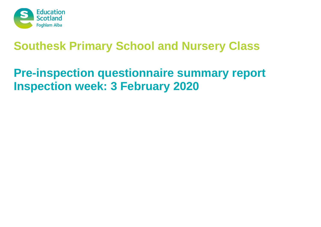

# **Pre-inspection questionnaire summary report Inspection week: 3 February 2020**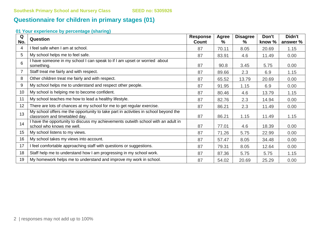# **Questionnaire for children in primary stages (01)**

| Q<br>No. | Question                                                                                                             | <b>Response</b><br>Count | <b>Agree</b><br>% | <b>Disagree</b><br>% | Don't<br>know % | Didn't<br>answer % |
|----------|----------------------------------------------------------------------------------------------------------------------|--------------------------|-------------------|----------------------|-----------------|--------------------|
| 4        | I feel safe when I am at school.                                                                                     | 87                       | 70.11             | 8.05                 | 20.69           | 1.15               |
| 5        | My school helps me to feel safe.                                                                                     | 87                       | 83.91             | 4.6                  | 11.49           | 0.00               |
| 6        | I have someone in my school I can speak to if I am upset or worried about<br>something.                              | 87                       | 90.8              | 3.45                 | 5.75            | 0.00               |
| 7        | Staff treat me fairly and with respect.                                                                              | 87                       | 89.66             | 2.3                  | 6.9             | 1.15               |
| 8        | Other children treat me fairly and with respect.                                                                     | 87                       | 65.52             | 13.79                | 20.69           | 0.00               |
| 9        | My school helps me to understand and respect other people.                                                           | 87                       | 91.95             | 1.15                 | 6.9             | 0.00               |
| 10       | My school is helping me to become confident.                                                                         | 87                       | 80.46             | 4.6                  | 13.79           | 1.15               |
| 11       | My school teaches me how to lead a healthy lifestyle.                                                                | 87                       | 82.76             | 2.3                  | 14.94           | 0.00               |
| 12       | There are lots of chances at my school for me to get regular exercise.                                               | 87                       | 86.21             | 2.3                  | 11.49           | 0.00               |
| 13       | My school offers me the opportunity to take part in activities in school beyond the<br>classroom and timetabled day. | 87                       | 86.21             | 1.15                 | 11.49           | 1.15               |
| 14       | I have the opportunity to discuss my achievements outwith school with an adult in<br>school who knows me well.       | 87                       | 77.01             | 4.6                  | 18.39           | 0.00               |
| 15       | My school listens to my views.                                                                                       | 87                       | 71.26             | 5.75                 | 22.99           | 0.00               |
| 16       | My school takes my views into account.                                                                               | 87                       | 57.47             | 8.05                 | 34.48           | 0.00               |
| 17       | I feel comfortable approaching staff with questions or suggestions.                                                  | 87                       | 79.31             | 8.05                 | 12.64           | 0.00               |
| 18       | Staff help me to understand how I am progressing in my school work.                                                  | 87                       | 87.36             | 5.75                 | 5.75            | 1.15               |
| 19       | My homework helps me to understand and improve my work in school.                                                    | 87                       | 54.02             | 20.69                | 25.29           | 0.00               |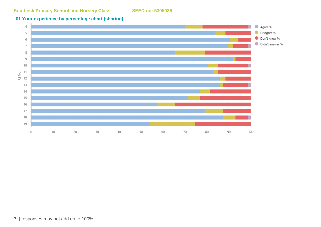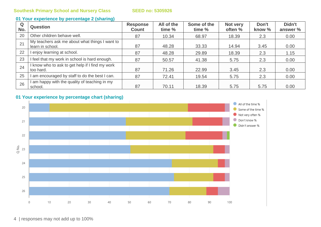#### **01 Your experience by percentage 2 (sharing)**

| Q<br>No. | <b>Question</b>                                                    | <b>Response</b><br><b>Count</b> | All of the<br>time % | Some of the<br>time % | Not very<br>often % | Don't<br>know % | Didn't<br>answer % |
|----------|--------------------------------------------------------------------|---------------------------------|----------------------|-----------------------|---------------------|-----------------|--------------------|
| 20       | Other children behave well.                                        | 87                              | 10.34                | 68.97                 | 18.39               | 2.3             | 0.00               |
| 21       | My teachers ask me about what things I want to<br>learn in school. | 87                              | 48.28                | 33.33                 | 14.94               | 3.45            | 0.00               |
| 22       | enjoy learning at school.                                          | 87                              | 48.28                | 29.89                 | 18.39               | 2.3             | 1.15               |
| 23       | I feel that my work in school is hard enough.                      | 87                              | 50.57                | 41.38                 | 5.75                | 2.3             | 0.00               |
| 24       | I know who to ask to get help if I find my work<br>too hard.       | 87                              | 71.26                | 22.99                 | 3.45                | 2.3             | 0.00               |
| 25       | am encouraged by staff to do the best I can.                       | 87                              | 72.41                | 19.54                 | 5.75                | 2.3             | 0.00               |
| 26       | am happy with the quality of teaching in my<br>school.             | 87                              | 70.11                | 18.39                 | 5.75                | 5.75            | 0.00               |

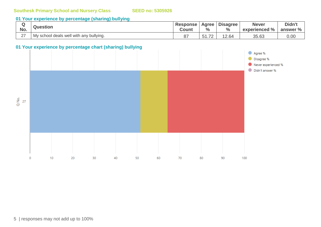#### **01 Your experience by percentage (sharing) bullying**

|        | <b>Question</b>                         | <b>Response</b> | Agree              | <b>Disagree</b> | <b>Never</b>  | Didn't           |
|--------|-----------------------------------------|-----------------|--------------------|-----------------|---------------|------------------|
| No.    |                                         | <b>Count</b>    | $\frac{0}{0}$      | $\frac{6}{6}$   | experienced % | answer %         |
| $\sim$ | My school deals well with any bullying. | 07<br>O.        | $\rightarrow$<br>ັ | 12.64           | 35.63         | $\Omega$<br>U.UU |

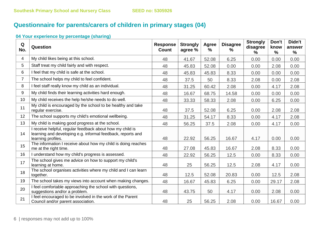# **Questionnaire for parents/carers of children in primary stages (04)**

| Q<br>No.       | Question                                                                                                                                       | <b>Response</b><br><b>Count</b> | <b>Strongly</b><br>agree % | <b>Agree</b><br>$\%$ | <b>Disagree</b><br>% | <b>Strongly</b><br>disagree<br>$\%$ | Don't<br>know<br>$\frac{9}{6}$ | Didn't<br>answer<br>$\%$ |
|----------------|------------------------------------------------------------------------------------------------------------------------------------------------|---------------------------------|----------------------------|----------------------|----------------------|-------------------------------------|--------------------------------|--------------------------|
| $\overline{4}$ | My child likes being at this school.                                                                                                           | 48                              | 41.67                      | 52.08                | 6.25                 | 0.00                                | 0.00                           | 0.00                     |
| 5              | Staff treat my child fairly and with respect.                                                                                                  | 48                              | 45.83                      | 52.08                | 0.00                 | 0.00                                | 2.08                           | 0.00                     |
| 6              | I feel that my child is safe at the school.                                                                                                    | 48                              | 45.83                      | 45.83                | 8.33                 | 0.00                                | 0.00                           | 0.00                     |
| $\overline{7}$ | The school helps my child to feel confident.                                                                                                   | 48                              | 37.5                       | 50                   | 8.33                 | 2.08                                | 0.00                           | 2.08                     |
| 8              | I feel staff really know my child as an individual.                                                                                            | 48                              | 31.25                      | 60.42                | 2.08                 | 0.00                                | 4.17                           | 2.08                     |
| 9              | My child finds their learning activities hard enough.                                                                                          | 48                              | 16.67                      | 68.75                | 14.58                | 0.00                                | 0.00                           | 0.00                     |
| 10             | My child receives the help he/she needs to do well.                                                                                            | 48                              | 33.33                      | 58.33                | 2.08                 | 0.00                                | 6.25                           | 0.00                     |
| 11             | My child is encouraged by the school to be healthy and take<br>regular exercise.                                                               | 48                              | 37.5                       | 52.08                | 6.25                 | 0.00                                | 2.08                           | 2.08                     |
| 12             | The school supports my child's emotional wellbeing.                                                                                            | 48                              | 31.25                      | 54.17                | 8.33                 | 0.00                                | 4.17                           | 2.08                     |
| 13             | My child is making good progress at the school.                                                                                                | 48                              | 56.25                      | 37.5                 | 2.08                 | 0.00                                | 4.17                           | 0.00                     |
| 14             | I receive helpful, regular feedback about how my child is<br>learning and developing e.g. informal feedback, reports and<br>learning profiles. | 48                              | 22.92                      | 56.25                | 16.67                | 4.17                                | 0.00                           | 0.00                     |
| 15             | The information I receive about how my child is doing reaches<br>me at the right time.                                                         | 48                              | 27.08                      | 45.83                | 16.67                | 2.08                                | 8.33                           | 0.00                     |
| 16             | I understand how my child's progress is assessed.                                                                                              | 48                              | 22.92                      | 56.25                | 12.5                 | 0.00                                | 8.33                           | 0.00                     |
| 17             | The school gives me advice on how to support my child's<br>learning at home.                                                                   | 48                              | 25                         | 56.25                | 12.5                 | 2.08                                | 4.17                           | 0.00                     |
| 18             | The school organises activities where my child and I can learn<br>together.                                                                    | 48                              | 12.5                       | 52.08                | 20.83                | 0.00                                | 12.5                           | 2.08                     |
| 19             | The school takes my views into account when making changes.                                                                                    | 48                              | 16.67                      | 45.83                | 6.25                 | 0.00                                | 29.17                          | 2.08                     |
| 20             | I feel comfortable approaching the school with questions,<br>suggestions and/or a problem.                                                     | 48                              | 43.75                      | 50                   | 4.17                 | 0.00                                | 2.08                           | 0.00                     |
| 21             | I feel encouraged to be involved in the work of the Parent<br>Council and/or parent association.                                               | 48                              | 25                         | 56.25                | 2.08                 | 0.00                                | 16.67                          | 0.00                     |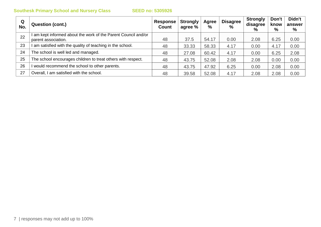| Q<br>No. | <b>Question (cont.)</b>                                                             | Response  <br>Count | <b>Strongly</b><br>agree % | Agree<br>$\%$ | <b>Disagree</b><br>$\%$ | <b>Strongly</b><br>disagree<br>% | Don't<br>know<br>% | Didn't<br>answer<br>% |
|----------|-------------------------------------------------------------------------------------|---------------------|----------------------------|---------------|-------------------------|----------------------------------|--------------------|-----------------------|
| 22       | am kept informed about the work of the Parent Council and/or<br>parent association. | 48                  | 37.5                       | 54.17         | 0.00                    | 2.08                             | 6.25               | 0.00                  |
| 23       | am satisfied with the quality of teaching in the school.                            | 48                  | 33.33                      | 58.33         | 4.17                    | 0.00                             | 4.17               | 0.00                  |
| 24       | The school is well led and managed.                                                 | 48                  | 27.08                      | 60.42         | 4.17                    | 0.00                             | 6.25               | 2.08                  |
| 25       | The school encourages children to treat others with respect.                        | 48                  | 43.75                      | 52.08         | 2.08                    | 2.08                             | 0.00               | 0.00                  |
| 26       | would recommend the school to other parents.                                        | 48                  | 43.75                      | 47.92         | 6.25                    | 0.00                             | 2.08               | 0.00                  |
| 27       | Overall, I am satisfied with the school.                                            | 48                  | 39.58                      | 52.08         | 4.17                    | 2.08                             | 2.08               | 0.00                  |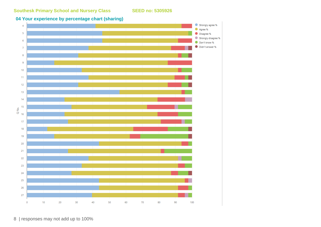

8 | responses may not add up to 100%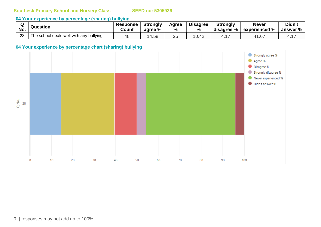## **04 Your experience by percentage (sharing) bullying**

| No. | Question                                 | <b>Response</b><br>Count | <b>Strongly</b><br>agree % | Agree<br>% | <b>Disagree</b><br>$\frac{0}{0}$ | <b>Strongly</b><br>disagree % | <b>Never</b><br>$^{\circ}$ experienced % | Didn't<br>answer % $\mid$ |
|-----|------------------------------------------|--------------------------|----------------------------|------------|----------------------------------|-------------------------------|------------------------------------------|---------------------------|
| 28  | The school deals well with any bullying. |                          | .58<br>4                   |            | 10.42                            |                               | 1.67                                     |                           |

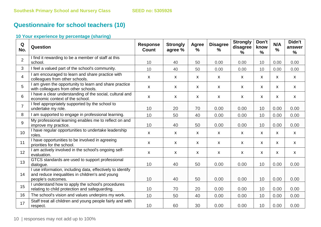# **Questionnaire for school teachers (10)**

| Q<br>No.       | Question                                                                                                                            | <b>Response</b><br><b>Count</b> | <b>Strongly</b><br>agree % | Agree<br>%   | <b>Disagree</b><br>$\%$ | <b>Strongly</b><br>disagree<br>$\frac{0}{0}$ | Don't<br>know<br>%        | N/A<br>$\frac{9}{6}$ | Didn't<br>answer<br>% |
|----------------|-------------------------------------------------------------------------------------------------------------------------------------|---------------------------------|----------------------------|--------------|-------------------------|----------------------------------------------|---------------------------|----------------------|-----------------------|
| $\overline{2}$ | I find it rewarding to be a member of staff at this<br>school.                                                                      | 10                              | 40                         | 50           | 0.00                    | 0.00                                         | 10                        | 0.00                 | 0.00                  |
| $\mathbf{3}$   | I feel a valued part of the school's community.                                                                                     | 10                              | 40                         | 50           | 0.00                    | 0.00                                         | 10                        | 0.00                 | 0.00                  |
| $\overline{4}$ | I am encouraged to learn and share practice with<br>colleagues from other schools.                                                  | $\mathsf{x}$                    | $\mathsf{x}$               | $\mathsf{x}$ | X                       | X                                            | $\mathsf{x}$              | $\mathsf{x}$         | X                     |
| 5              | I am given the opportunity to learn and share practice<br>with colleagues from other schools.                                       | $\mathsf{x}$                    | X                          | $\mathsf{x}$ | X                       | $\mathsf{x}$                                 | $\mathsf{x}$              | $\mathsf{x}$         | $\mathsf{x}$          |
| 6              | I have a clear understanding of the social, cultural and<br>economic context of the school.                                         | $\mathsf{x}$                    | $\mathsf{X}$               | $\mathsf{x}$ | X                       | X                                            | $\mathsf{X}$              | X                    | $\mathsf{X}$          |
| $\overline{7}$ | I feel appropriately supported by the school to<br>undertake my role.                                                               | 10                              | 20                         | 70           | 0.00                    | 0.00                                         | 10                        | 0.00                 | 0.00                  |
| 8              | I am supported to engage in professional learning.                                                                                  | 10                              | 50                         | 40           | 0.00                    | 0.00                                         | 10                        | 0.00                 | 0.00                  |
| 9              | My professional learning enables me to reflect on and<br>improve my practice.                                                       | 10                              | 40                         | 50           | 0.00                    | 0.00                                         | 10                        | 0.00                 | 0.00                  |
| 10             | I have regular opportunities to undertake leadership<br>roles.                                                                      | $\mathsf{x}$                    | $\boldsymbol{\mathsf{X}}$  | $\mathsf{X}$ | X                       | X                                            | $\boldsymbol{\mathsf{X}}$ | X                    | $\mathsf{X}$          |
| 11             | I have opportunities to be involved in agreeing<br>priorities for the school.                                                       | $\mathsf{x}$                    | $\mathsf{X}$               | $\mathsf{X}$ | X                       | $\mathsf{x}$                                 | $\boldsymbol{\mathsf{X}}$ | $\mathsf{x}$         | $\mathsf{X}$          |
| 12             | I am actively involved in the school's ongoing self-<br>evaluation.                                                                 | $\pmb{\mathsf{X}}$              | $\boldsymbol{\mathsf{X}}$  | $\mathsf{X}$ | $\pmb{\mathsf{X}}$      | X                                            | $\boldsymbol{\mathsf{X}}$ | X                    | $\mathsf{X}$          |
| 13             | GTCS standards are used to support professional<br>dialogue.                                                                        | 10                              | 40                         | 50           | 0.00                    | 0.00                                         | 10                        | 0.00                 | 0.00                  |
| 14             | I use information, including data, effectively to identify<br>and reduce inequalities in children's and young<br>people's outcomes. | 10                              | 40                         | 50           | 0.00                    | 0.00                                         | 10                        | 0.00                 | 0.00                  |
| 15             | I understand how to apply the school's procedures<br>relating to child protection and safeguarding.                                 | 10                              | 70                         | 20           | 0.00                    | 0.00                                         | 10                        | 0.00                 | 0.00                  |
| 16             | The school's vision and values underpins my work.                                                                                   | 10                              | 50                         | 40           | 0.00                    | 0.00                                         | 10                        | 0.00                 | 0.00                  |
| 17             | Staff treat all children and young people fairly and with<br>respect.                                                               | 10                              | 60                         | 30           | 0.00                    | 0.00                                         | 10                        | 0.00                 | 0.00                  |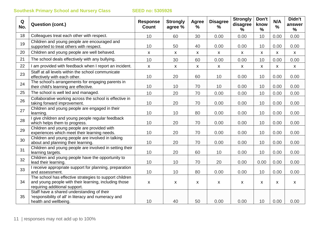| Q<br>No. | <b>Question (cont.)</b>                                                                                                                           | <b>Response</b><br><b>Count</b> | <b>Strongly</b><br>agree % | <b>Agree</b><br>$\%$ | <b>Disagree</b><br>$\frac{9}{6}$ | <b>Strongly</b><br>disagree<br>% | Don't<br>know<br>$\frac{0}{0}$ | N/A<br>$\frac{9}{6}$ | Didn't<br>answer<br>% |
|----------|---------------------------------------------------------------------------------------------------------------------------------------------------|---------------------------------|----------------------------|----------------------|----------------------------------|----------------------------------|--------------------------------|----------------------|-----------------------|
| 18       | Colleagues treat each other with respect.                                                                                                         | 10                              | 60                         | 30                   | 0.00                             | 0.00                             | 10                             | 0.00                 | 0.00                  |
| 19       | Children and young people are encouraged and<br>supported to treat others with respect.                                                           | 10                              | 50                         | 40                   | 0.00                             | 0.00                             | 10                             | 0.00                 | 0.00                  |
| 20       | Children and young people are well behaved.                                                                                                       | X                               | $\boldsymbol{\mathsf{X}}$  | $\mathsf{X}$         | X                                | X                                | X                              | X                    | $\mathsf{X}$          |
| 21       | The school deals effectively with any bullying.                                                                                                   | 10                              | 30                         | 60                   | 0.00                             | 0.00                             | 10                             | 0.00                 | 0.00                  |
| 22       | I am provided with feedback when I report an incident.                                                                                            | $\mathsf{X}$                    | $\mathsf{X}$               | $\mathsf{X}$         | X                                | X                                | $\mathsf{x}$                   | $\mathsf{X}$         | $\mathsf{X}$          |
| 23       | Staff at all levels within the school communicate<br>effectively with each other.                                                                 | 10                              | 20                         | 60                   | 10                               | 0.00                             | 10                             | 0.00                 | 0.00                  |
| 24       | The school's arrangements for engaging parents in<br>their child's learning are effective.                                                        | 10                              | 10                         | 70                   | 10                               | 0.00                             | 10                             | 0.00                 | 0.00                  |
| 25       | The school is well led and managed.                                                                                                               | 10                              | 20                         | 70                   | 0.00                             | 0.00                             | 10                             | 0.00                 | 0.00                  |
| 26       | Collaborative working across the school is effective in<br>taking forward improvement.                                                            | 10                              | 20                         | 70                   | 0.00                             | 0.00                             | 10                             | 0.00                 | 0.00                  |
| 27       | Children and young people are engaged in their<br>learning.                                                                                       | 10                              | 10                         | 80                   | 0.00                             | 0.00                             | 10                             | 0.00                 | 0.00                  |
| 28       | I give children and young people regular feedback<br>which helps them to progress.                                                                | 10                              | 20                         | 70                   | 0.00                             | 0.00                             | 10                             | 0.00                 | 0.00                  |
| 29       | Children and young people are provided with<br>experiences which meet their learning needs.                                                       | 10                              | 20                         | 70                   | 0.00                             | 0.00                             | 10                             | 0.00                 | 0.00                  |
| 30       | Children and young people are involved in talking<br>about and planning their learning.                                                           | 10                              | 20                         | 70                   | 0.00                             | 0.00                             | 10                             | 0.00                 | 0.00                  |
| 31       | Children and young people are involved in setting their<br>learning targets.                                                                      | 10                              | 20                         | 60                   | 10                               | 0.00                             | 10                             | 0.00                 | 0.00                  |
| 32       | Children and young people have the opportunity to<br>lead their learning.                                                                         | 10                              | 10                         | 70                   | 20                               | 0.00                             | 0.00                           | 0.00                 | 0.00                  |
| 33       | I receive appropriate support for planning, preparation<br>and assessment.                                                                        | 10                              | 10                         | 80                   | 0.00                             | 0.00                             | 10                             | 0.00                 | 0.00                  |
| 34       | The school has effective strategies to support children<br>and young people with their learning, including those<br>requiring additional support. | $\pmb{\mathsf{X}}$              | $\boldsymbol{\mathsf{X}}$  | X                    | X                                | X                                | $\boldsymbol{\mathsf{X}}$      | $\mathsf{x}$         | $\mathsf{X}$          |
| 35       | Staff have a shared understanding of their<br>'responsibility of all' in literacy and numeracy and<br>health and wellbeing.                       | 10                              | 40                         | 50                   | 0.00                             | 0.00                             | 10                             | 0.00                 | 0.00                  |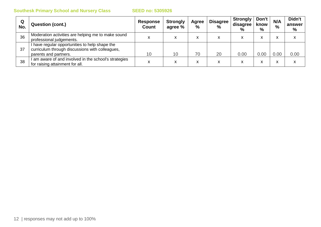| Q<br>No. | <b>Question (cont.)</b>                                                                                                    | <b>Response</b><br><b>Count</b> | <b>Strongly</b><br>agree % | Agree<br>% | <b>Disagree</b><br>$\frac{0}{0}$ | <b>Strongly</b><br>disagree<br>$\%$ | Don't<br>know<br>% | N/A<br>$\frac{0}{0}$ | Didn't<br>answer<br>$\%$ |
|----------|----------------------------------------------------------------------------------------------------------------------------|---------------------------------|----------------------------|------------|----------------------------------|-------------------------------------|--------------------|----------------------|--------------------------|
| 36       | Moderation activities are helping me to make sound<br>professional judgements.                                             |                                 | л                          |            | x                                |                                     | ⋏                  | л                    |                          |
| 37       | I have regular opportunities to help shape the<br>curriculum through discussions with colleagues,<br>parents and partners. | 10                              | 10                         | 70         | 20                               | 0.00                                | 0.00 <sub>1</sub>  | 0.00                 | 0.00                     |
| 38       | am aware of and involved in the school's strategies<br>for raising attainment for all.                                     | ⋏                               | $\checkmark$<br>$\lambda$  | ́          | x                                | x                                   | ́                  | Δ                    |                          |